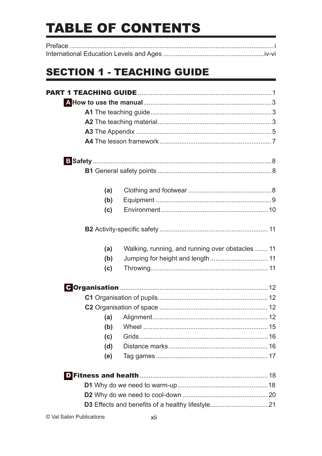# **TABLE OF CONTENTS**

# **SECTION 1 - TEACHING GUIDE**

|  | (a) |                                                   |  |  |
|--|-----|---------------------------------------------------|--|--|
|  | (b) |                                                   |  |  |
|  | (c) |                                                   |  |  |
|  |     |                                                   |  |  |
|  | (a) | Walking, running, and running over obstacles  11  |  |  |
|  | (b) |                                                   |  |  |
|  | (c) |                                                   |  |  |
|  |     |                                                   |  |  |
|  |     |                                                   |  |  |
|  |     |                                                   |  |  |
|  | (a) |                                                   |  |  |
|  | (b) |                                                   |  |  |
|  | (c) |                                                   |  |  |
|  | (d) |                                                   |  |  |
|  | (e) |                                                   |  |  |
|  |     |                                                   |  |  |
|  |     |                                                   |  |  |
|  |     |                                                   |  |  |
|  |     | D3 Effects and benefits of a healthy lifestyle 21 |  |  |
|  |     |                                                   |  |  |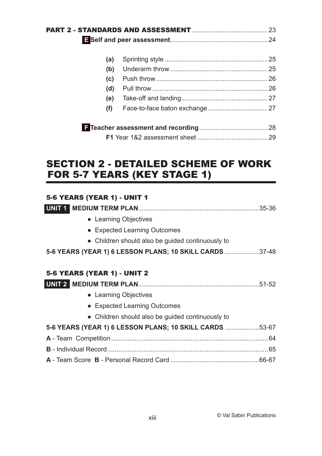| (a) |  |
|-----|--|
| (b) |  |
| (c) |  |
| (d) |  |
| (e) |  |
| (f) |  |
|     |  |
|     |  |

# SECTION 2 - DETAILED SCHEME OF WORK FOR 5-7 YEARS (KEY STAGE 1)

### 5-6 YEARS (YEAR 1) - UNIT 1

| • Learning Objectives                                   |  |
|---------------------------------------------------------|--|
| • Expected Learning Outcomes                            |  |
| • Children should also be guided continuously to        |  |
| 5-6 YEARS (YEAR 1) 6 LESSON PLANS; 10 SKILL CARDS 37-48 |  |
|                                                         |  |
| <b>5-6 YEARS (YEAR 1) - UNIT 2</b>                      |  |
|                                                         |  |
| • Learning Objectives                                   |  |
| • Expected Learning Outcomes                            |  |
| • Children should also be guided continuously to        |  |
| 5-6 YEARS (YEAR 1) 6 LESSON PLANS; 10 SKILL CARDS 53-67 |  |
|                                                         |  |
|                                                         |  |
|                                                         |  |
|                                                         |  |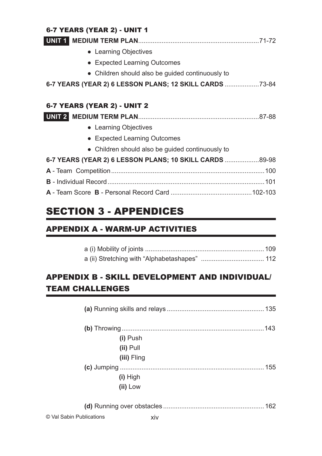### 6-7 YEARS (YEAR 2) - UNIT 1

| • Learning Objectives                                    |
|----------------------------------------------------------|
| • Expected Learning Outcomes                             |
| • Children should also be guided continuously to         |
| 6-7 YEARS (YEAR 2) 6 LESSON PLANS; 12 SKILL CARDS 73-84  |
|                                                          |
| 6-7 YEARS (YEAR 2) - UNIT 2                              |
|                                                          |
| • Learning Objectives                                    |
| • Expected Learning Outcomes                             |
| • Children should also be guided continuously to         |
| 6-7 YEARS (YEAR 2) 6 LESSON PLANS; 10 SKILL CARDS  89-98 |
|                                                          |
|                                                          |
|                                                          |

# SECTION 3 - APPENDICES

# APPENDIX A - WARM-UP ACTIVITIES

# APPENDIX B - SKILL DEVELOPMENT AND INDIVIDUAL/ TEAM CHALLENGES

| (i) Push                 |     |  |
|--------------------------|-----|--|
| (ii) Pull                |     |  |
| (iii) Fling              |     |  |
|                          |     |  |
| $(i)$ High               |     |  |
| (ii) Low                 |     |  |
|                          |     |  |
| © Val Sabin Publications | XIV |  |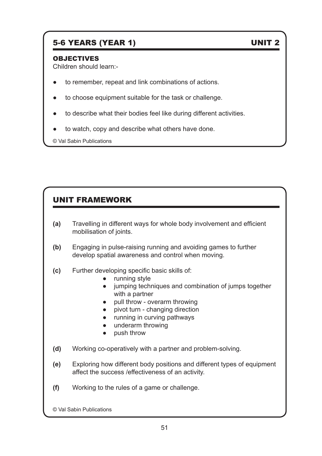# 5-6 YEARS (YEAR 1) UNIT 2

#### **OBJECTIVES**

Children should learn:-

- to remember, repeat and link combinations of actions.
- to choose equipment suitable for the task or challenge.
- to describe what their bodies feel like during different activities.
- to watch, copy and describe what others have done.

© Val Sabin Publications

# UNIT FRAMEWORK

- **(a)** Travelling in different ways for whole body involvement and efficient mobilisation of joints.
- **(b)** Engaging in pulse-raising running and avoiding games to further develop spatial awareness and control when moving.
- **(c)** Further developing specific basic skills of:
	- running style
	- jumping techniques and combination of jumps together with a partner
	- ● pull throw overarm throwing
	- pivot turn changing direction
	- running in curving pathways
	- underarm throwing
	- ● push throw
- **(d)** Working co-operatively with a partner and problem-solving.
- **(e)** Exploring how different body positions and different types of equipment affect the success /effectiveness of an activity.
- **(f)** Working to the rules of a game or challenge.

© Val Sabin Publications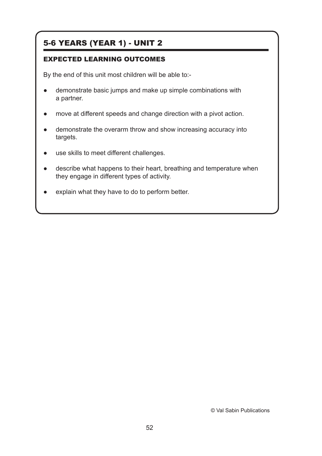# 5-6 YEARS (YEAR 1) - UNIT 2

#### EXPECTED LEARNING OUTCOMES

By the end of this unit most children will be able to:-

- demonstrate basic jumps and make up simple combinations with a partner.
- move at different speeds and change direction with a pivot action.
- demonstrate the overarm throw and show increasing accuracy into targets.
- use skills to meet different challenges.
- describe what happens to their heart, breathing and temperature when they engage in different types of activity.
- explain what they have to do to perform better.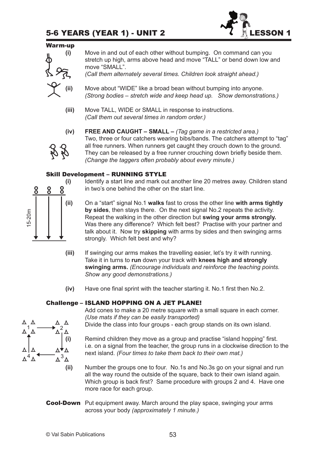# 5-6 YEARS (YEAR 1) - UNIT 2  $\blacksquare$



#### Warm-up



**(i)** Move in and out of each other without bumping. On command can you stretch up high, arms above head and move "TALL" or bend down low and move "SMALL".

 *(Call them alternately several times. Children look straight ahead.)*

- Move about "WIDE" like a broad bean without bumping into anyone.  *(Strong bodies – stretch wide and keep head up. Show demonstrations.)*
- **(iii)** Move TALL, WIDE or SMALL in response to instructions.  *(Call them out several times in random order.)*

**(iv) FREE AND CAUGHT – SMALL –** *(Tag game in a restricted area.)* Two, three or four catchers wearing bibs/bands. The catchers attempt to "tag" all free runners. When runners get caught they crouch down to the ground. They can be released by a free runner crouching down briefly beside them.  *(Change the taggers often probably about every minute.)*

#### Skill Development – RUNNING STYLE

**(i)** Identify a start line and mark out another line 20 metres away. Children stand 8 8 in two's one behind the other on the start line.

**(ii)** On a "start" signal No.1 **walks** fast to cross the other line **with arms tightly by sides**, then stays there. On the next signal No.2 repeats the activity. Repeat the walking in the other direction but **swing your arms strongly.**  Was there any difference? Which felt best? Practise with your partner and talk about it. Now try **skipping** with arms by sides and then swinging arms strongly. Which felt best and why?

- **(iii)** If swinging our arms makes the travelling easier, let's try it with running. Take it in turns to **run** down your track with **knees high and strongly swinging arms.** *(Encourage individuals and reinforce the teaching points. Show any good demonstrations.)*
- **(iv)** Have one final sprint with the teacher starting it. No.1 first then No.2.

#### Challenge – ISLAND HOPPING ON A JET PLANE!

 Add cones to make a 20 metre square with a small square in each corner.  *(Use mats if they can be easily transported)*   $\mathcal{L}$  Divide the class into four groups - each group stands on its own island.

**(i)** Remind children they move as a group and practise "island hopping" first.  $\overrightarrow{A}$  i.e. on a signal from the teacher, the group runs in a clockwise direction to the next island. *(Four times to take them back to their own mat.)*

- **(ii)** Number the groups one to four. No.1s and No.3s go on your signal and run all the way round the outside of the square, back to their own island again. Which group is back first? Same procedure with groups 2 and 4. Have one more race for each group.
- **Cool-Down** Put equipment away. March around the play space, swinging your arms across your body *(approximately 1 minute.)*



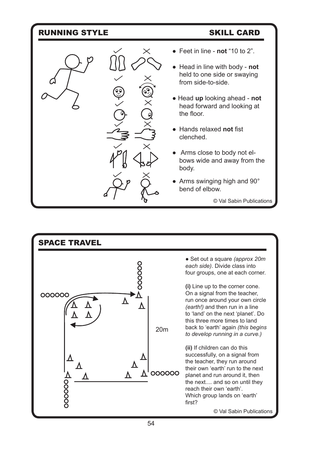# RUNNING STYLE SKILL CARD



- ● Feet in line **not** "10 to 2".
- ● Head in line with body **not** held to one side or swaying from side-to-side.
- Head **up** looking ahead **not** head forward and looking at the floor.
- Hands relaxed **not** fist clenched.
- Arms close to body not elbows wide and away from the body.
- $\bullet$  Arms swinging high and 90 $^{\circ}$ bend of elbow.

© Val Sabin Publications

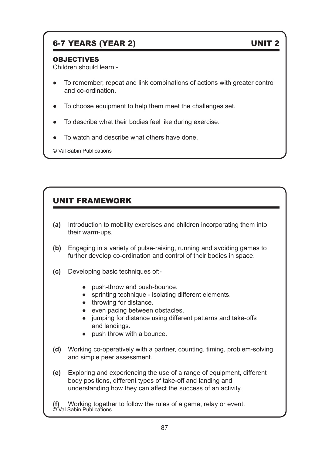# 6-7 YEARS (YEAR 2) UNIT 2

#### OBJECTIVES

Children should learn:-

- To remember, repeat and link combinations of actions with greater control and co-ordination.
- To choose equipment to help them meet the challenges set.
- To describe what their bodies feel like during exercise.
- To watch and describe what others have done.

© Val Sabin Publications

# UNIT FRAMEWORK

- **(a)** Introduction to mobility exercises and children incorporating them into their warm-ups.
- **(b)** Engaging in a variety of pulse-raising, running and avoiding games to further develop co-ordination and control of their bodies in space.
- **(c)** Developing basic techniques of:-
	- push-throw and push-bounce.
	- sprinting technique isolating different elements.
	- throwing for distance.
	- even pacing between obstacles.
	- jumping for distance using different patterns and take-offs and landings.
	- push throw with a bounce.
- **(d)** Working co-operatively with a partner, counting, timing, problem-solving and simple peer assessment.
- **(e)** Exploring and experiencing the use of a range of equipment, different body positions, different types of take-off and landing and understanding how they can affect the success of an activity.

(f) Working togethe<br>© Val Sabin Publications Working together to follow the rules of a game, relay or event.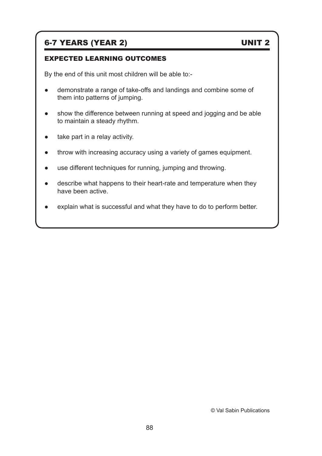# 6-7 YEARS (YEAR 2) UNIT 2

#### EXPECTED LEARNING OUTCOMES

By the end of this unit most children will be able to:-

- ● demonstrate a range of take-offs and landings and combine some of them into patterns of jumping.
- show the difference between running at speed and jogging and be able to maintain a steady rhythm.
- take part in a relay activity.
- throw with increasing accuracy using a variety of games equipment.
- use different techniques for running, jumping and throwing.
- describe what happens to their heart-rate and temperature when they have been active.
- explain what is successful and what they have to do to perform better.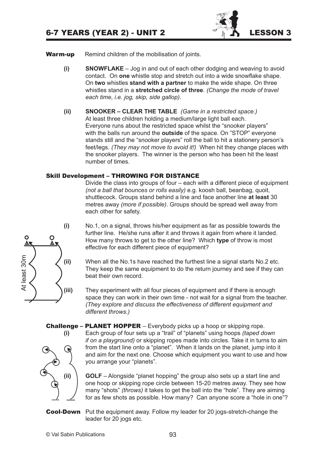

- **Warm-up** Remind children of the mobilisation of joints.
	- **(i) SNOWFLAKE** Jog in and out of each other dodging and weaving to avoid contact. On **one** whistle stop and stretch out into a wide snowflake shape. On **two** whistles **stand with a partner** to make the wide shape. On three whistles stand in a **stretched circle of three**. *(Change the mode of travel each time, i.e. jog, skip, side gallop).*
	- **(ii) SNOOKER CLEAR THE TABLE** *(Game in a restricted space.)* At least three children holding a medium/large light ball each. Everyone runs about the restricted space whilst the "snooker players" with the balls run around the **outside** of the space. On "STOP" everyone stands still and the "snooker players" roll the ball to hit a stationery person's feet/legs. *(They may not move to avoid it!)* When hit they change places with the snooker players. The winner is the person who has been hit the least number of times.

#### Skill Development – THROWING FOR DISTANCE

 Divide the class into groups of four – each with a different piece of equipment *(not a ball that bounces or rolls easily)* e.g. koosh ball, beanbag, quoit, shuttlecock. Groups stand behind a line and face another line **at least** 30 metres away *(more if possible)*. Groups should be spread well away from each other for safety.

- **(i)** No.1, on a signal, throws his/her equipment as far as possible towards the further line. He/she runs after it and throws it again from where it landed.<br>
O How many throws to get to the other line? Which **type** of throw is most effective for each different piece of equipment?
	- **(ii)** When all the No.1s have reached the furthest line a signal starts No.2 etc. They keep the same equipment to do the return journey and see if they can beat their own record.

**(iii)** They experiment with all four pieces of equipment and if there is enough space they can work in their own time - not wait for a signal from the teacher. *(They explore and discuss the effectiveness of different equipment and different throws.)*



for as few shots as possible. How many? Can anyone score a "hole in one"?



© Val Sabin Publications 93

At least 30m

At least 30m

 $\circ$  $\overline{\mathbf{v}}$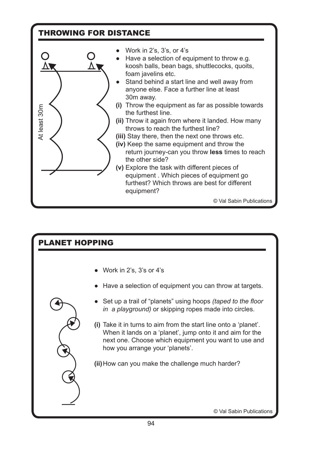# THROWING FOR DISTANCE



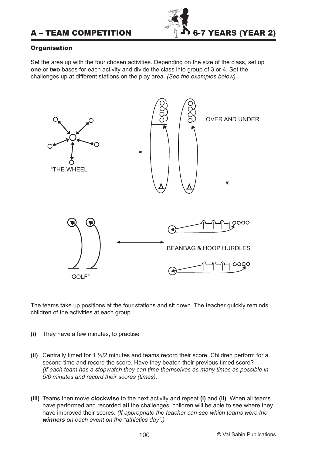

#### **Organisation**

Set the area up with the four chosen activities. Depending on the size of the class, set up **one** or **two** bases for each activity and divide the class into group of 3 or 4. Set the challenges up at different stations on the play area. *(See the examples below).*



The teams take up positions at the four stations and sit down. The teacher quickly reminds children of the activities at each group.

- **(i)** They have a few minutes, to practise
- **(ii)** Centrally timed for 1 ½/2 minutes and teams record their score. Children perform for a second time and record the score. Have they beaten their previous timed score? *(If each team has a stopwatch they can time themselves as many times as possible in 5/6 minutes and record their scores (times).*
- **(iii)** Teams then move **clockwise** to the next activity and repeat **(i)** and **(ii)**. When all teams have performed and recorded **all** the challenges; children will be able to see where they have improved their scores. *(If appropriate the teacher can see which teams were the winners on each event on the "athletics day".)*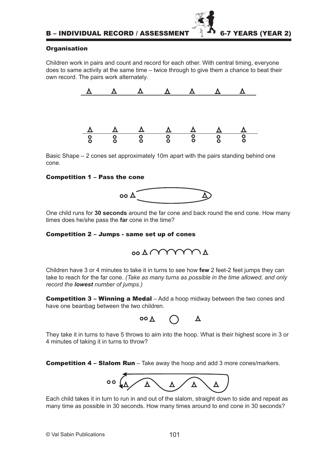#### **Organisation**

Children work in pairs and count and record for each other. With central timing, everyone does to same activity at the same time – twice through to give them a chance to beat their own record. The pairs work alternately.



Basic Shape – 2 cones set approximately 10m apart with the pairs standing behind one cone.

#### Competition 1 – Pass the cone



One child runs for **30 seconds** around the far cone and back round the end cone. How many times does he/she pass the **far** cone in the time?

#### Competition 2 – Jumps - same set up of cones

Children have 3 or 4 minutes to take it in turns to see how **few** 2 feet-2 feet jumps they can take to reach for the far cone. *(Take as many turns as possible in the time allowed, and only record the lowest number of jumps.)*

**Competition 3 - Winning a Medal** - Add a hoop midway between the two cones and have one beanbag between the two children.



They take it in turns to have 5 throws to aim into the hoop. What is their highest score in 3 or 4 minutes of taking it in turns to throw?

**Competition 4 – Slalom Run –** Take away the hoop and add 3 more cones/markers.



Each child takes it in turn to run in and out of the slalom, straight down to side and repeat as many time as possible in 30 seconds. How many times around to end cone in 30 seconds?